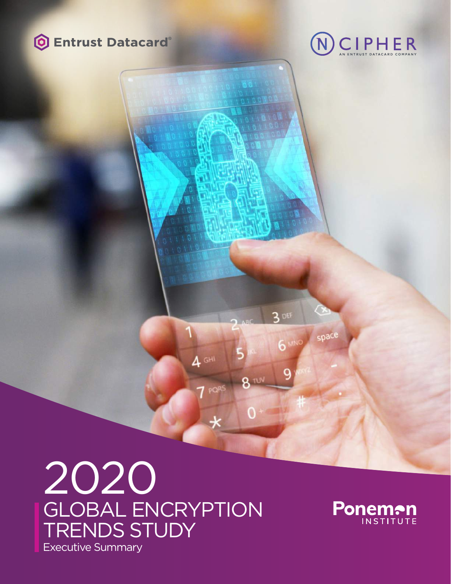



# 2020 GLOBAL ENCRYPTION TRENDS STUDY Executive Summary

 $4$  GHI

PQR



 $3$  DEF

8 TUN

**6 MNG** 

space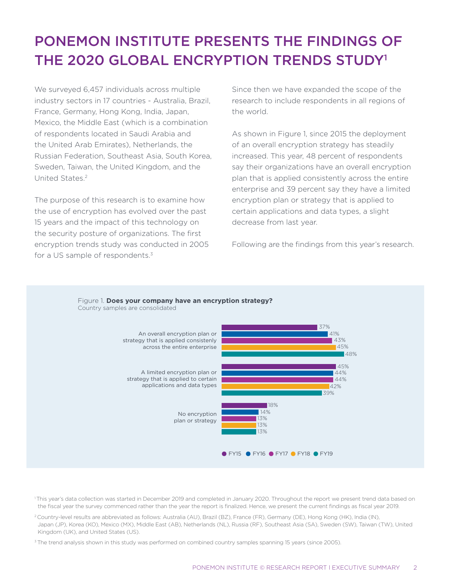# PONEMON INSTITUTE PRESENTS THE FINDINGS OF THE 2020 GLOBAL ENCRYPTION TRENDS STUDY1

We surveyed 6,457 individuals across multiple industry sectors in 17 countries - Australia, Brazil, France, Germany, Hong Kong, India, Japan, Mexico, the Middle East (which is a combination of respondents located in Saudi Arabia and the United Arab Emirates), Netherlands, the Russian Federation, Southeast Asia, South Korea, Sweden, Taiwan, the United Kingdom, and the United States.2

The purpose of this research is to examine how the use of encryption has evolved over the past 15 years and the impact of this technology on the security posture of organizations. The first encryption trends study was conducted in 2005 for a US sample of respondents.<sup>3</sup>

Since then we have expanded the scope of the research to include respondents in all regions of the world.

As shown in Figure 1, since 2015 the deployment of an overall encryption strategy has steadily increased. This year, 48 percent of respondents say their organizations have an overall encryption plan that is applied consistently across the entire enterprise and 39 percent say they have a limited encryption plan or strategy that is applied to certain applications and data types, a slight decrease from last year.

Following are the findings from this year's research.



<sup>1</sup>This year's data collection was started in December 2019 and completed in January 2020. Throughout the report we present trend data based on the fiscal year the survey commenced rather than the year the report is finalized. Hence, we present the current findings as fiscal year 2019.

2 Country-level results are abbreviated as follows: Australia (AU), Brazil (BZ), France (FR), Germany (DE), Hong Kong (HK), India (IN), Japan (JP), Korea (KO), Mexico (MX), Middle East (AB), Netherlands (NL), Russia (RF), Southeast Asia (SA), Sweden (SW), Taiwan (TW), United Kingdom (UK), and United States (US).

<sup>3</sup> The trend analysis shown in this study was performed on combined country samples spanning 15 years (since 2005).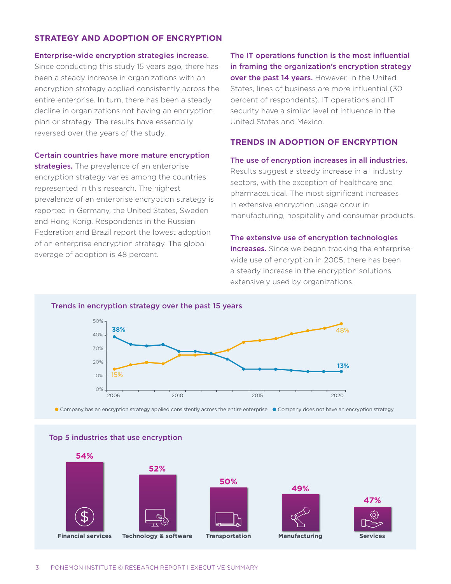# **STRATEGY AND ADOPTION OF ENCRYPTION**

#### Enterprise-wide encryption strategies increase.

Since conducting this study 15 years ago, there has been a steady increase in organizations with an encryption strategy applied consistently across the entire enterprise. In turn, there has been a steady decline in organizations not having an encryption plan or strategy. The results have essentially reversed over the years of the study.

#### Certain countries have more mature encryption

strategies. The prevalence of an enterprise encryption strategy varies among the countries represented in this research. The highest prevalence of an enterprise encryption strategy is reported in Germany, the United States, Sweden and Hong Kong. Respondents in the Russian Federation and Brazil report the lowest adoption of an enterprise encryption strategy. The global average of adoption is 48 percent.

The IT operations function is the most influential in framing the organization's encryption strategy over the past 14 years. However, in the United States, lines of business are more influential (30 percent of respondents). IT operations and IT security have a similar level of influence in the United States and Mexico.

# **TRENDS IN ADOPTION OF ENCRYPTION**

#### The use of encryption increases in all industries.

Results suggest a steady increase in all industry sectors, with the exception of healthcare and pharmaceutical. The most significant increases in extensive encryption usage occur in manufacturing, hospitality and consumer products.

#### The extensive use of encryption technologies

increases. Since we began tracking the enterprisewide use of encryption in 2005, there has been a steady increase in the encryption solutions extensively used by organizations.



● Company has an encryption strategy applied consistently across the entire enterprise ● Company does not have an encryption strategy

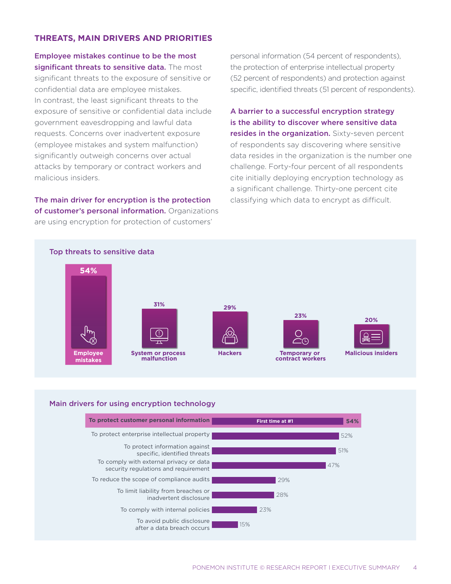# **THREATS, MAIN DRIVERS AND PRIORITIES**

Employee mistakes continue to be the most significant threats to sensitive data. The most significant threats to the exposure of sensitive or confidential data are employee mistakes. In contrast, the least significant threats to the exposure of sensitive or confidential data include government eavesdropping and lawful data requests. Concerns over inadvertent exposure (employee mistakes and system malfunction) significantly outweigh concerns over actual attacks by temporary or contract workers and malicious insiders.

The main driver for encryption is the protection of customer's personal information. Organizations are using encryption for protection of customers'

personal information (54 percent of respondents), the protection of enterprise intellectual property (52 percent of respondents) and protection against specific, identified threats (51 percent of respondents).

A barrier to a successful encryption strategy is the ability to discover where sensitive data resides in the organization. Sixty-seven percent of respondents say discovering where sensitive data resides in the organization is the number one challenge. Forty-four percent of all respondents cite initially deploying encryption technology as a significant challenge. Thirty-one percent cite classifying which data to encrypt as difficult.



### Main drivers for using encryption technology

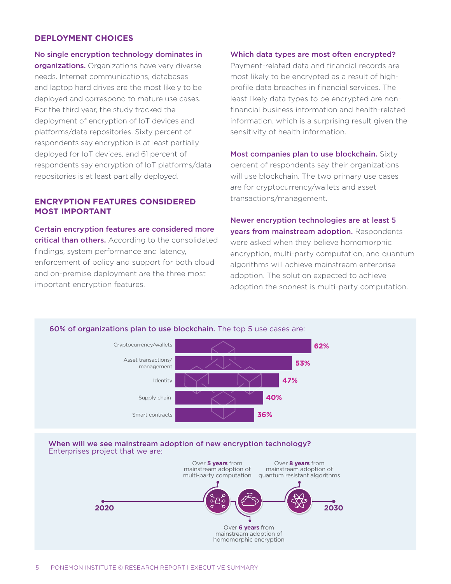# **DEPLOYMENT CHOICES**

No single encryption technology dominates in organizations. Organizations have very diverse needs. Internet communications, databases and laptop hard drives are the most likely to be deployed and correspond to mature use cases. For the third year, the study tracked the deployment of encryption of IoT devices and platforms/data repositories. Sixty percent of respondents say encryption is at least partially deployed for IoT devices, and 61 percent of respondents say encryption of IoT platforms/data repositories is at least partially deployed.

# **ENCRYPTION FEATURES CONSIDERED MOST IMPORTANT**

Certain encryption features are considered more critical than others. According to the consolidated findings, system performance and latency, enforcement of policy and support for both cloud and on-premise deployment are the three most important encryption features.

#### Which data types are most often encrypted?

Payment-related data and financial records are most likely to be encrypted as a result of highprofile data breaches in financial services. The least likely data types to be encrypted are nonfinancial business information and health-related information, which is a surprising result given the sensitivity of health information.

Most companies plan to use blockchain. Sixty percent of respondents say their organizations will use blockchain. The two primary use cases are for cryptocurrency/wallets and asset transactions/management.

Newer encryption technologies are at least 5 years from mainstream adoption. Respondents were asked when they believe homomorphic encryption, multi-party computation, and quantum algorithms will achieve mainstream enterprise adoption. The solution expected to achieve adoption the soonest is multi-party computation.

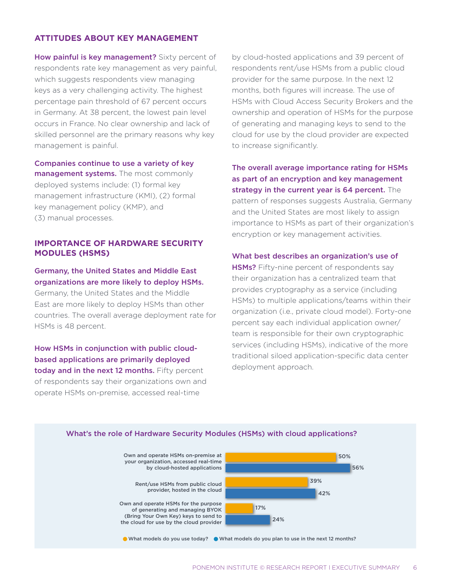# **ATTITUDES ABOUT KEY MANAGEMENT**

How painful is key management? Sixty percent of respondents rate key management as very painful, which suggests respondents view managing keys as a very challenging activity. The highest percentage pain threshold of 67 percent occurs in Germany. At 38 percent, the lowest pain level occurs in France. No clear ownership and lack of skilled personnel are the primary reasons why key management is painful.

Companies continue to use a variety of key management systems. The most commonly deployed systems include: (1) formal key management infrastructure (KMI), (2) formal key management policy (KMP), and (3) manual processes.

# **IMPORTANCE OF HARDWARE SECURITY MODULES (HSMS)**

# Germany, the United States and Middle East organizations are more likely to deploy HSMs.

Germany, the United States and the Middle East are more likely to deploy HSMs than other countries. The overall average deployment rate for HSMs is 48 percent.

How HSMs in conjunction with public cloudbased applications are primarily deployed today and in the next 12 months. Fifty percent of respondents say their organizations own and operate HSMs on-premise, accessed real-time

by cloud-hosted applications and 39 percent of respondents rent/use HSMs from a public cloud provider for the same purpose. In the next 12 months, both figures will increase. The use of HSMs with Cloud Access Security Brokers and the ownership and operation of HSMs for the purpose of generating and managing keys to send to the cloud for use by the cloud provider are expected to increase significantly.

The overall average importance rating for HSMs as part of an encryption and key management strategy in the current year is 64 percent. The pattern of responses suggests Australia, Germany and the United States are most likely to assign importance to HSMs as part of their organization's encryption or key management activities.

#### What best describes an organization's use of

HSMs? Fifty-nine percent of respondents say their organization has a centralized team that provides cryptography as a service (including HSMs) to multiple applications/teams within their organization (i.e., private cloud model). Forty-one percent say each individual application owner/ team is responsible for their own cryptographic services (including HSMs), indicative of the more traditional siloed application-specific data center deployment approach.

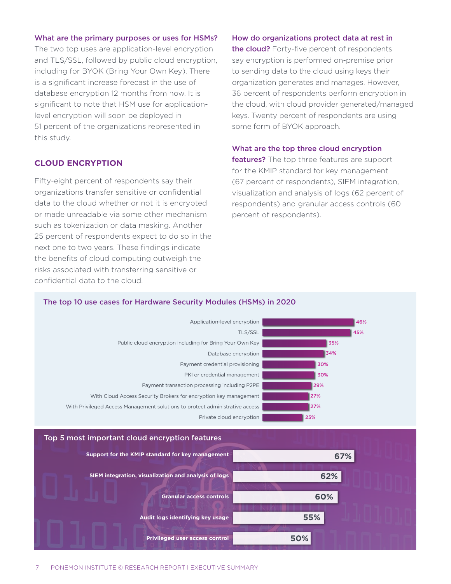#### What are the primary purposes or uses for HSMs?

The two top uses are application-level encryption and TLS/SSL, followed by public cloud encryption, including for BYOK (Bring Your Own Key). There is a significant increase forecast in the use of database encryption 12 months from now. It is significant to note that HSM use for applicationlevel encryption will soon be deployed in 51 percent of the organizations represented in this study.

### **CLOUD ENCRYPTION**

Fifty-eight percent of respondents say their organizations transfer sensitive or confidential data to the cloud whether or not it is encrypted or made unreadable via some other mechanism such as tokenization or data masking. Another 25 percent of respondents expect to do so in the next one to two years. These findings indicate the benefits of cloud computing outweigh the risks associated with transferring sensitive or confidential data to the cloud.

#### How do organizations protect data at rest in

the cloud? Forty-five percent of respondents say encryption is performed on-premise prior to sending data to the cloud using keys their organization generates and manages. However, 36 percent of respondents perform encryption in the cloud, with cloud provider generated/managed keys. Twenty percent of respondents are using some form of BYOK approach.

#### What are the top three cloud encryption

features? The top three features are support for the KMIP standard for key management (67 percent of respondents), SIEM integration, visualization and analysis of logs (62 percent of respondents) and granular access controls (60 percent of respondents).

#### The top 10 use cases for Hardware Security Modules (HSMs) in 2020